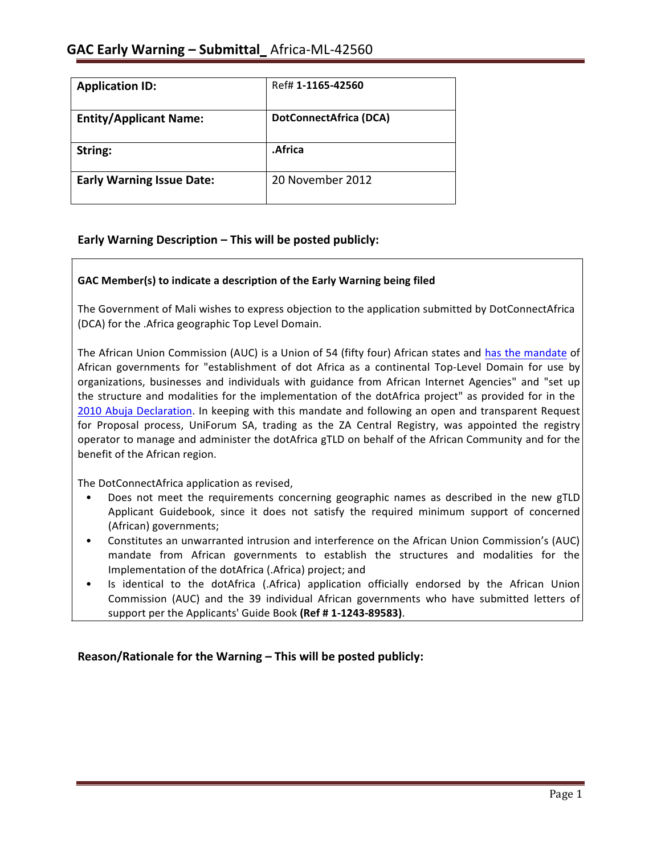| <b>Application ID:</b>           | Ref# 1-1165-42560             |
|----------------------------------|-------------------------------|
| <b>Entity/Applicant Name:</b>    | <b>DotConnectAfrica (DCA)</b> |
| String:                          | .Africa                       |
| <b>Early Warning Issue Date:</b> | 20 November 2012              |

# **Early Warning Description – This will be posted publicly:**

#### **GAC Member(s) to indicate a description of the Early Warning being filed**

The Government of Mali wishes to express objection to the application submitted by DotConnectAfrica (DCA) for the .Africa geographic Top Level Domain.

The African Union Commission (AUC) is a Union of 54 (fifty four) African states and has the mandate of African governments for "establishment of dot Africa as a continental Top-Level Domain for use by organizations, businesses and individuals with guidance from African Internet Agencies" and "set up the structure and modalities for the implementation of the dotAfrica project" as provided for in the 2010 Abuja Declaration. In keeping with this mandate and following an open and transparent Request for Proposal process, UniForum SA, trading as the ZA Central Registry, was appointed the registry operator to manage and administer the dotAfrica gTLD on behalf of the African Community and for the benefit of the African region.

The DotConnectAfrica application as revised,

- Does not meet the requirements concerning geographic names as described in the new gTLD Applicant Guidebook, since it does not satisfy the required minimum support of concerned (African) governments;
- Constitutes an unwarranted intrusion and interference on the African Union Commission's (AUC) mandate from African governments to establish the structures and modalities for the Implementation of the dotAfrica (.Africa) project; and
- Is identical to the dotAfrica (.Africa) application officially endorsed by the African Union Commission (AUC) and the 39 individual African governments who have submitted letters of support per the Applicants' Guide Book (Ref #1-1243-89583).

**Reason/Rationale for the Warning – This will be posted publicly:**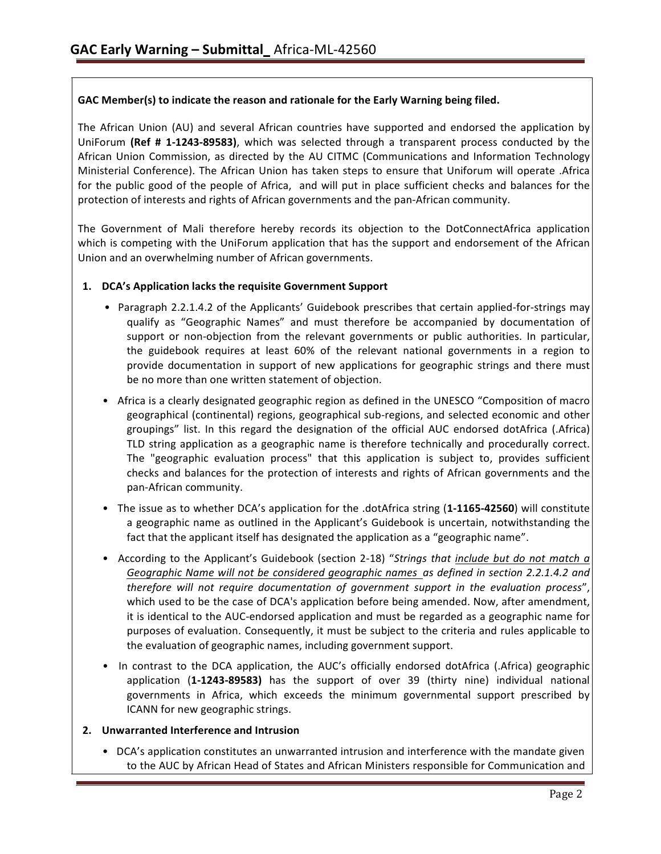### **GAC Member(s) to indicate the reason and rationale for the Early Warning being filed.**

The African Union (AU) and several African countries have supported and endorsed the application by UniForum **(Ref # 1-1243-89583)**, which was selected through a transparent process conducted by the African Union Commission, as directed by the AU CITMC (Communications and Information Technology Ministerial Conference). The African Union has taken steps to ensure that Uniforum will operate .Africa for the public good of the people of Africa, and will put in place sufficient checks and balances for the protection of interests and rights of African governments and the pan-African community.

The Government of Mali therefore hereby records its objection to the DotConnectAfrica application which is competing with the UniForum application that has the support and endorsement of the African Union and an overwhelming number of African governments.

#### **1. DCA's Application lacks the requisite Government Support**

- Paragraph 2.2.1.4.2 of the Applicants' Guidebook prescribes that certain applied-for-strings may qualify as "Geographic Names" and must therefore be accompanied by documentation of support or non-objection from the relevant governments or public authorities. In particular, the guidebook requires at least 60% of the relevant national governments in a region to provide documentation in support of new applications for geographic strings and there must be no more than one written statement of objection.
- Africa is a clearly designated geographic region as defined in the UNESCO "Composition of macro geographical (continental) regions, geographical sub-regions, and selected economic and other groupings" list. In this regard the designation of the official AUC endorsed dotAfrica (.Africa) TLD string application as a geographic name is therefore technically and procedurally correct. The "geographic evaluation process" that this application is subject to, provides sufficient checks and balances for the protection of interests and rights of African governments and the pan-African community.
- The issue as to whether DCA's application for the .dotAfrica string (1-1165-42560) will constitute a geographic name as outlined in the Applicant's Guidebook is uncertain, notwithstanding the fact that the applicant itself has designated the application as a "geographic name".
- • According to the Applicant's Guidebook (section 2-18) "*Strings that include but do not match a Geographic Name will not be considered geographic names as defined in section 2.2.1.4.2 and therefore will not require documentation of government support in the evaluation process*", which used to be the case of DCA's application before being amended. Now, after amendment, it is identical to the AUC-endorsed application and must be regarded as a geographic name for purposes of evaluation. Consequently, it must be subject to the criteria and rules applicable to the evaluation of geographic names, including government support.
- In contrast to the DCA application, the AUC's officially endorsed dotAfrica (.Africa) geographic application (**1-1243-89583)** has the support of over 39 (thirty nine) individual national governments in Africa, which exceeds the minimum governmental support prescribed by ICANN for new geographic strings.

#### **2. Unwarranted Interference and Intrusion**

• DCA's application constitutes an unwarranted intrusion and interference with the mandate given to the AUC by African Head of States and African Ministers responsible for Communication and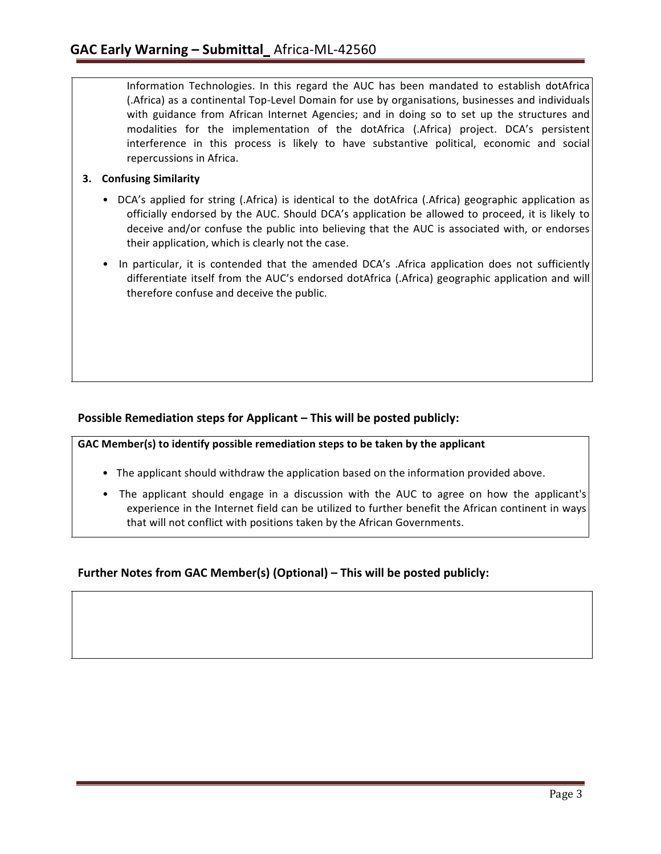Information Technologies. In this regard the AUC has been mandated to establish dotAfrica (.Africa) as a continental Top-Level Domain for use by organisations, businesses and individuals with guidance from African Internet Agencies; and in doing so to set up the structures and modalities for the implementation of the dotAfrica (.Africa) project. DCA's persistent interference in this process is likely to have substantive political, economic and social repercussions in Africa.

### **3. Confusing Similarity**

- DCA's applied for string (.Africa) is identical to the dotAfrica (.Africa) geographic application as officially endorsed by the AUC. Should DCA's application be allowed to proceed, it is likely to deceive and/or confuse the public into believing that the AUC is associated with, or endorses their application, which is clearly not the case.
- In particular, it is contended that the amended DCA's .Africa application does not sufficiently differentiate itself from the AUC's endorsed dotAfrica (.Africa) geographic application and will therefore confuse and deceive the public.

# **Possible Remediation steps for Applicant – This will be posted publicly:**

**GAC Member(s) to identify possible remediation steps to be taken by the applicant**

- The applicant should withdraw the application based on the information provided above.
- The applicant should engage in a discussion with the AUC to agree on how the applicant's experience in the Internet field can be utilized to further benefit the African continent in ways that will not conflict with positions taken by the African Governments.

# **Further Notes from GAC Member(s) (Optional) – This will be posted publicly:**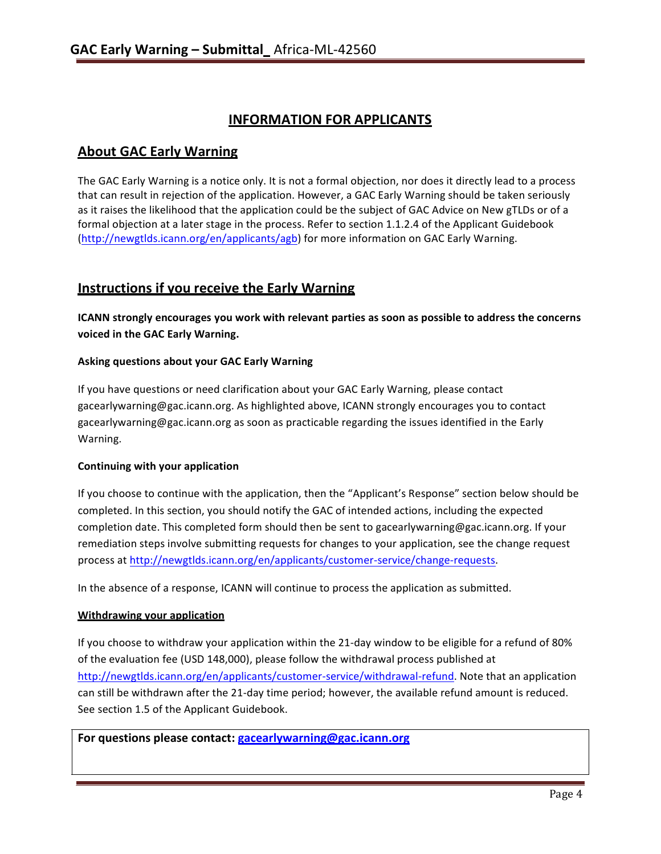# **INFORMATION FOR APPLICANTS**

# **About GAC Early Warning**

The GAC Early Warning is a notice only. It is not a formal objection, nor does it directly lead to a process that can result in rejection of the application. However, a GAC Early Warning should be taken seriously as it raises the likelihood that the application could be the subject of GAC Advice on New gTLDs or of a formal objection at a later stage in the process. Refer to section 1.1.2.4 of the Applicant Guidebook (http://newgtlds.icann.org/en/applicants/agb) for more information on GAC Early Warning.

# **Instructions if you receive the Early Warning**

**ICANN strongly encourages you work with relevant parties as soon as possible to address the concerns voiced in the GAC Early Warning.**

### **Asking questions about your GAC Early Warning**

If you have questions or need clarification about your GAC Early Warning, please contact gacearlywarning@gac.icann.org. As highlighted above, ICANN strongly encourages you to contact gacearlywarning@gac.icann.org as soon as practicable regarding the issues identified in the Early Warning.

#### **Continuing with your application**

If you choose to continue with the application, then the "Applicant's Response" section below should be completed. In this section, you should notify the GAC of intended actions, including the expected completion date. This completed form should then be sent to gacearlywarning@gac.icann.org. If your remediation steps involve submitting requests for changes to your application, see the change request process at http://newgtlds.icann.org/en/applicants/customer-service/change-requests.

In the absence of a response, ICANN will continue to process the application as submitted.

#### **Withdrawing your application**

If you choose to withdraw your application within the 21-day window to be eligible for a refund of 80% of the evaluation fee (USD 148,000), please follow the withdrawal process published at http://newgtlds.icann.org/en/applicants/customer-service/withdrawal-refund. Note that an application can still be withdrawn after the 21-day time period; however, the available refund amount is reduced. See section 1.5 of the Applicant Guidebook.

**For questions please contact: gacearlywarning@gac.icann.org**